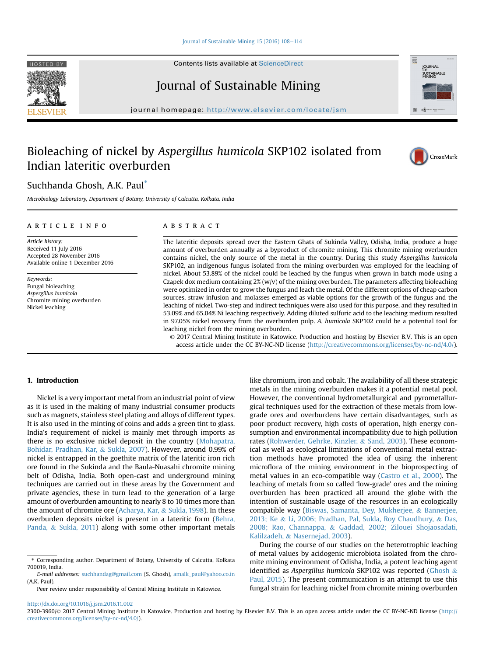#### Journal of Sustainable Mining  $15(2016)$   $108-114$  $108-114$

Contents lists available at ScienceDirect





journal homepage: <http://www.elsevier.com/locate/jsm>

# Bioleaching of nickel by Aspergillus humicola SKP102 isolated from Indian lateritic overburden



CrossMark

**JURNAL** SUSTAINABLE

## Suchhanda Ghosh, A.K. Paul\*

Microbiology Laboratory, Department of Botany, University of Calcutta, Kolkata, India

## article info

Article history: Received 11 July 2016 Accepted 28 November 2016 Available online 1 December 2016

Keywords: Fungal bioleaching Aspergillus humicola Chromite mining overburden Nickel leaching

## **ABSTRACT**

The lateritic deposits spread over the Eastern Ghats of Sukinda Valley, Odisha, India, produce a huge amount of overburden annually as a byproduct of chromite mining. This chromite mining overburden contains nickel, the only source of the metal in the country. During this study Aspergillus humicola SKP102, an indigenous fungus isolated from the mining overburden was employed for the leaching of nickel. About 53.89% of the nickel could be leached by the fungus when grown in batch mode using a Czapek dox medium containing  $2\%$  (w/v) of the mining overburden. The parameters affecting bioleaching were optimized in order to grow the fungus and leach the metal. Of the different options of cheap carbon sources, straw infusion and molasses emerged as viable options for the growth of the fungus and the leaching of nickel. Two-step and indirect techniques were also used for this purpose, and they resulted in 53.09% and 65.04% Ni leaching respectively. Adding diluted sulfuric acid to the leaching medium resulted in 97.05% nickel recovery from the overburden pulp. A. humicola SKP102 could be a potential tool for leaching nickel from the mining overburden.

© 2017 Central Mining Institute in Katowice. Production and hosting by Elsevier B.V. This is an open access article under the CC BY-NC-ND license [\(http://creativecommons.org/licenses/by-nc-nd/4.0/](http://creativecommons.org/licenses/by-nc-nd/4.0/)).

## 1. Introduction

Nickel is a very important metal from an industrial point of view as it is used in the making of many industrial consumer products such as magnets, stainless steel plating and alloys of different types. It is also used in the minting of coins and adds a green tint to glass. India's requirement of nickel is mainly met through imports as there is no exclusive nickel deposit in the country ([Mohapatra,](#page-6-0) [Bohidar, Pradhan, Kar,](#page-6-0) & [Sukla, 2007](#page-6-0)). However, around 0.99% of nickel is entrapped in the goethite matrix of the lateritic iron rich ore found in the Sukinda and the Baula-Nuasahi chromite mining belt of Odisha, India. Both open-cast and underground mining techniques are carried out in these areas by the Government and private agencies, these in turn lead to the generation of a large amount of overburden amounting to nearly 8 to 10 times more than the amount of chromite ore [\(Acharya, Kar,](#page-6-0) & [Sukla, 1998](#page-6-0)). In these overburden deposits nickel is present in a lateritic form [\(Behra,](#page-6-0) [Panda,](#page-6-0) & [Sukla, 2011\)](#page-6-0) along with some other important metals

Peer review under responsibility of Central Mining Institute in Katowice.

like chromium, iron and cobalt. The availability of all these strategic metals in the mining overburden makes it a potential metal pool. However, the conventional hydrometallurgical and pyrometallurgical techniques used for the extraction of these metals from lowgrade ores and overburdens have certain disadvantages, such as poor product recovery, high costs of operation, high energy consumption and environmental incompatibility due to high pollution rates [\(Rohwerder, Gehrke, Kinzler,](#page-6-0) & [Sand, 2003\)](#page-6-0). These economical as well as ecological limitations of conventional metal extraction methods have promoted the idea of using the inherent microflora of the mining environment in the bioprospecting of metal values in an eco-compatible way [\(Castro et al., 2000\)](#page-6-0). The leaching of metals from so called 'low-grade' ores and the mining overburden has been practiced all around the globe with the intention of sustainable usage of the resources in an ecologically compatible way [\(Biswas, Samanta, Dey, Mukherjee,](#page-6-0) & [Bannerjee,](#page-6-0) [2013; Ke](#page-6-0) & [Li, 2006; Pradhan, Pal, Sukla, Roy Chaudhury,](#page-6-0) & [Das,](#page-6-0) [2008; Rao, Channappa,](#page-6-0) & [Gaddad, 2002; Zilouei Shojaosadati,](#page-6-0) [Kalilzadeh,](#page-6-0) & [Nasernejad, 2003](#page-6-0)).

During the course of our studies on the heterotrophic leaching of metal values by acidogenic microbiota isolated from the chromite mining environment of Odisha, India, a potent leaching agent identified as Aspergillus humicola SKP102 was reported [\(Ghosh](#page-6-0) & [Paul, 2015\)](#page-6-0). The present communication is an attempt to use this fungal strain for leaching nickel from chromite mining overburden

<http://dx.doi.org/10.1016/j.jsm.2016.11.002>

<sup>\*</sup> Corresponding author. Department of Botany, University of Calcutta, Kolkata 700019, India.

E-mail addresses: [suchhandag@gmail.com](mailto:suchhandag@gmail.com) (S. Ghosh), [amalk\\_paul@yahoo.co.in](mailto:amalk_paul@yahoo.co.in) (A.K. Paul).

<sup>2300-3960/</sup>© 2017 Central Mining Institute in Katowice. Production and hosting by Elsevier B.V. This is an open access article under the CC BY-NC-ND license [\(http://](http://creativecommons.org/licenses/by-nc-nd/4.0/) [creativecommons.org/licenses/by-nc-nd/4.0/](http://creativecommons.org/licenses/by-nc-nd/4.0/)).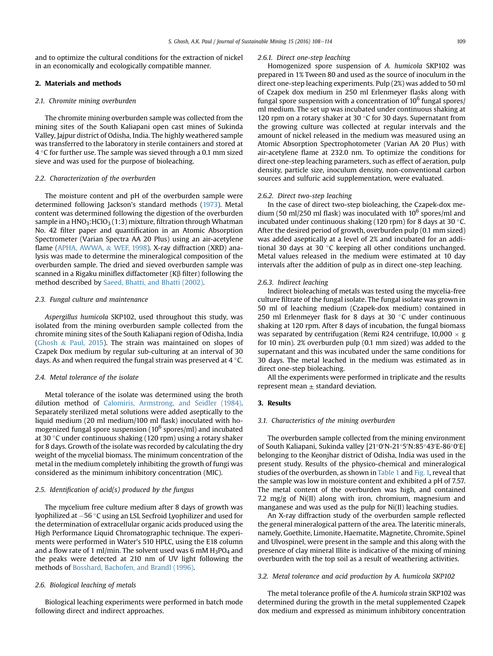and to optimize the cultural conditions for the extraction of nickel in an economically and ecologically compatible manner.

## 2. Materials and methods

## 2.1. Chromite mining overburden

The chromite mining overburden sample was collected from the mining sites of the South Kaliapani open cast mines of Sukinda Valley, Jajpur district of Odisha, India. The highly weathered sample was transferred to the laboratory in sterile containers and stored at  $4^{\circ}$ C for further use. The sample was sieved through a 0.1 mm sized sieve and was used for the purpose of bioleaching.

#### 2.2. Characterization of the overburden

The moisture content and pH of the overburden sample were determined following Jackson's standard methods [\(1973](#page-6-0)). Metal content was determined following the digestion of the overburden sample in a  $HNO<sub>3</sub>:HClO<sub>3</sub>(1:3)$  mixture, filtration through Whatman No. 42 filter paper and quantification in an Atomic Absorption Spectrometer (Varian Spectra AA 20 Plus) using an air-acetylene flame ([APHA, AWWA,](#page-6-0) & [WEF, 1998\)](#page-6-0). X-ray diffraction (XRD) analysis was made to determine the mineralogical composition of the overburden sample. The dried and sieved overburden sample was scanned in a Rigaku miniflex diffactometer ( $K\beta$  filter) following the method described by [Saeed, Bhatti, and Bhatti \(2002\)](#page-6-0).

## 2.3. Fungal culture and maintenance

Aspergillus humicola SKP102, used throughout this study, was isolated from the mining overburden sample collected from the chromite mining sites of the South Kaliapani region of Odisha, India ([Ghosh](#page-6-0) & [Paul, 2015](#page-6-0)). The strain was maintained on slopes of Czapek Dox medium by regular sub-culturing at an interval of 30 days. As and when required the fungal strain was preserved at  $4^{\circ}$ C.

#### 2.4. Metal tolerance of the isolate

Metal tolerance of the isolate was determined using the broth dilution method of [Calomiris, Armstrong, and Seidler \(1984\).](#page-6-0) Separately sterilized metal solutions were added aseptically to the liquid medium (20 ml medium/100 ml flask) inoculated with homogenized fungal spore suspension  $(10^6$  spores/ml) and incubated at 30 °C under continuous shaking (120 rpm) using a rotary shaker for 8 days. Growth of the isolate was recorded by calculating the dry weight of the mycelial biomass. The minimum concentration of the metal in the medium completely inhibiting the growth of fungi was considered as the minimum inhibitory concentration (MIC).

## 2.5. Identification of  $acid(s)$  produced by the fungus

The mycelium free culture medium after 8 days of growth was lyophilized at  $-56$  °C using an LSL Secfroid Lyophilizer and used for the determination of extracellular organic acids produced using the High Performance Liquid Chromatographic technique. The experiments were performed in Water's 510 HPLC, using the E18 column and a flow rate of 1 ml/min. The solvent used was 6 mM  $H_3PO_4$  and the peaks were detected at 210 nm of UV light following the methods of [Bosshard, Bachofen, and Brandl \(1996\).](#page-6-0)

## 2.6. Biological leaching of metals

Biological leaching experiments were performed in batch mode following direct and indirect approaches.

#### 2.6.1. Direct one-step leaching

Homogenized spore suspension of A. humicola SKP102 was prepared in 1% Tween 80 and used as the source of inoculum in the direct one-step leaching experiments. Pulp (2%) was added to 50 ml of Czapek dox medium in 250 ml Erlenmeyer flasks along with fungal spore suspension with a concentration of  $10^6$  fungal spores/ ml medium. The set up was incubated under continuous shaking at 120 rpm on a rotary shaker at 30  $\degree$ C for 30 days. Supernatant from the growing culture was collected at regular intervals and the amount of nickel released in the medium was measured using an Atomic Absorption Spectrophotometer (Varian AA 20 Plus) with air-acetylene flame at 232.0 nm. To optimize the conditions for direct one-step leaching parameters, such as effect of aeration, pulp density, particle size, inoculum density, non-conventional carbon sources and sulfuric acid supplementation, were evaluated.

#### 2.6.2. Direct two-step leaching

In the case of direct two-step bioleaching, the Czapek-dox medium (50 ml/250 ml flask) was inoculated with  $10^6$  spores/ml and incubated under continuous shaking (120 rpm) for 8 days at 30  $\degree$ C. After the desired period of growth, overburden pulp (0.1 mm sized) was added aseptically at a level of 2% and incubated for an additional 30 days at 30 °C keeping all other conditions unchanged. Metal values released in the medium were estimated at 10 day intervals after the addition of pulp as in direct one-step leaching.

#### 2.6.3. Indirect leaching

Indirect bioleaching of metals was tested using the mycelia-free culture filtrate of the fungal isolate. The fungal isolate was grown in 50 ml of leaching medium (Czapek-dox medium) contained in 250 ml Erlenmeyer flask for 8 days at 30  $\degree$ C under continuous shaking at 120 rpm. After 8 days of incubation, the fungal biomass was separated by centrifugation (Remi R24 centrifuge,  $10,000 \times g$ for 10 min). 2% overburden pulp (0.1 mm sized) was added to the supernatant and this was incubated under the same conditions for 30 days. The metal leached in the medium was estimated as in direct one-step bioleaching.

All the experiments were performed in triplicate and the results represent mean  $\pm$  standard deviation.

## 3. Results

#### 3.1. Characteristics of the mining overburden

The overburden sample collected from the mining environment of South Kaliapani, Sukinda valley [21°0′N-21°5′N:85°43′E-86°0′E] belonging to the Keonjhar district of Odisha, India was used in the present study. Results of the physico-chemical and mineralogical studies of the overburden, as shown in [Table 1](#page-2-0) and [Fig. 1,](#page-2-0) reveal that the sample was low in moisture content and exhibited a pH of 7.57. The metal content of the overburden was high, and contained 7.2 mg/g of Ni(II) along with iron, chromium, magnesium and manganese and was used as the pulp for Ni(II) leaching studies.

An X-ray diffraction study of the overburden sample reflected the general mineralogical pattern of the area. The lateritic minerals, namely, Goethite, Limonite, Haematite, Magnetite, Chromite, Spinel and Ulvospinel, were present in the sample and this along with the presence of clay mineral Illite is indicative of the mixing of mining overburden with the top soil as a result of weathering activities.

#### 3.2. Metal tolerance and acid production by A. humicola SKP102

The metal tolerance profile of the A. humicola strain SKP102 was determined during the growth in the metal supplemented Czapek dox medium and expressed as minimum inhibitory concentration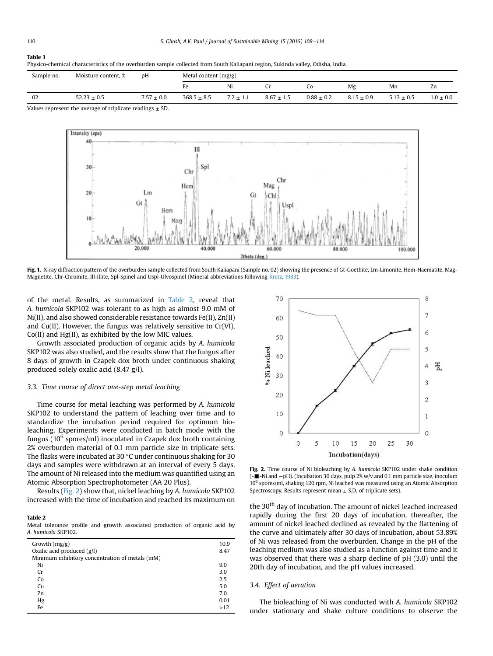#### <span id="page-2-0"></span>Table 1

| Physico-chemical characteristics of the overburden sample collected from South Kaliapani region, Sukinda valley, Odisha, India. |  |
|---------------------------------------------------------------------------------------------------------------------------------|--|
|                                                                                                                                 |  |

| Sample no. | Moisture content, %                       | pΗ             | Metal content $(mg/g)$ |               |                |                |                |              |               |
|------------|-------------------------------------------|----------------|------------------------|---------------|----------------|----------------|----------------|--------------|---------------|
|            |                                           |                | нΑ                     | Ni            |                | Ċ٥             | Mg             | Mn           | Zn            |
| 02         | $52.23 + 0.5$                             | $7.57 \pm 0.0$ | $368.5 \pm 8.5$        | $7.2 \pm 1.1$ | $8.67 \pm 1.5$ | $0.88 \pm 0.2$ | $8.15 \pm 0.9$ | $5.13 + 0.5$ | $1.0 \pm 0.0$ |
| .          | $\sim$ $\sim$ $\sim$ $\sim$ $\sim$ $\sim$ | $-$            |                        |               |                |                |                |              |               |

Values represent the average of triplicate readings  $\pm$  SD.



Fig. 1. X-ray diffraction pattern of the overburden sample collected from South Kaliapani (Sample no. 02) showing the presence of Gt-Goethite, Lm-Limonite, Hem-Haematite, Mag-Magnetite, Chr-Chromite, Ill-Illite, Spl-Spinel and Uspl-Ulvospinel (Mineral abbreviations following [Kretz, 1983](#page-6-0)).

of the metal. Results, as summarized in Table 2, reveal that A. humicola SKP102 was tolerant to as high as almost 9.0 mM of Ni(II), and also showed considerable resistance towards Fe(II), Zn(II) and Cu(II). However, the fungus was relatively sensitive to Cr(VI), Co(II) and Hg(II), as exhibited by the low MIC values.

Growth associated production of organic acids by A. humicola SKP102 was also studied, and the results show that the fungus after 8 days of growth in Czapek dox broth under continuous shaking produced solely oxalic acid (8.47 g/l).

#### 3.3. Time course of direct one-step metal leaching

Time course for metal leaching was performed by A. humicola SKP102 to understand the pattern of leaching over time and to standardize the incubation period required for optimum bioleaching. Experiments were conducted in batch mode with the fungus ( $10^6$  spores/ml) inoculated in Czapek dox broth containing 2% overburden material of 0.1 mm particle size in triplicate sets. The flasks were incubated at 30 $\degree$ C under continuous shaking for 30 days and samples were withdrawn at an interval of every 5 days. The amount of Ni released into the medium was quantified using an Atomic Absorption Spectrophotometer (AA 20 Plus).

Results (Fig. 2) show that, nickel leaching by A. humicola SKP102 increased with the time of incubation and reached its maximum on

#### Table 2

Metal tolerance profile and growth associated production of organic acid by A. humicola SKP102.

| Growth $(mg/g)$                                 | 10.9 |
|-------------------------------------------------|------|
| Oxalic acid produced $(g/l)$                    | 8.47 |
| Minimum inhibitory concentration of metals (mM) |      |
| Ni                                              | 9.0  |
| Cr                                              | 3.0  |
| Co                                              | 2.5  |
| Cu                                              | 5.0  |
| Zn                                              | 7.0  |
| Hg                                              | 0.01 |
| Fe                                              | >12  |
|                                                 |      |



Fig. 2. Time course of Ni bioleaching by A. humicola SKP102 under shake condition (-■-Ni and -pH). (Incubation 30 days, pulp 2% w/v and 0.1 mm particle size, inoculum 10<sup>6</sup> spores/ml, shaking 120 rpm, Ni leached was measured using an Atomic Absorption Spectroscopy. Results represent mean  $\pm$  S.D. of triplicate sets).

the 30<sup>th</sup> day of incubation. The amount of nickel leached increased rapidly during the first 20 days of incubation, thereafter, the amount of nickel leached declined as revealed by the flattening of the curve and ultimately after 30 days of incubation, about 53.89% of Ni was released from the overburden. Change in the pH of the leaching medium was also studied as a function against time and it was observed that there was a sharp decline of pH (3.0) until the 20th day of incubation, and the pH values increased.

## 3.4. Effect of aeration

The bioleaching of Ni was conducted with A. humicola SKP102 under stationary and shake culture conditions to observe the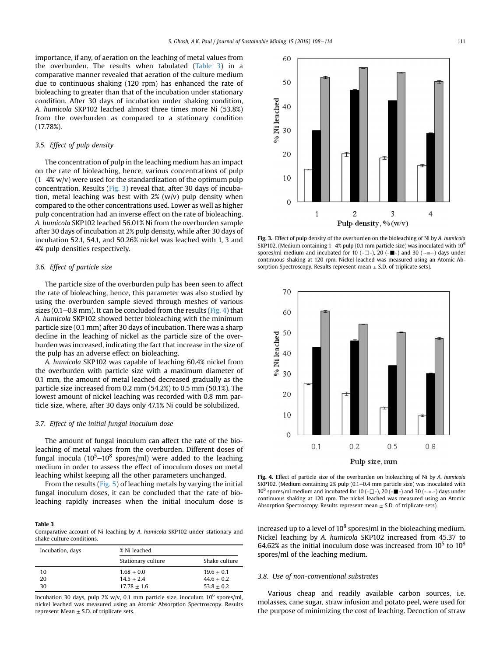<span id="page-3-0"></span>importance, if any, of aeration on the leaching of metal values from the overburden. The results when tabulated (Table 3) in a comparative manner revealed that aeration of the culture medium due to continuous shaking (120 rpm) has enhanced the rate of bioleaching to greater than that of the incubation under stationary condition. After 30 days of incubation under shaking condition, A. humicola SKP102 leached almost three times more Ni (53.8%) from the overburden as compared to a stationary condition (17.78%).

## 3.5. Effect of pulp density

The concentration of pulp in the leaching medium has an impact on the rate of bioleaching, hence, various concentrations of pulp  $(1-4\% w/v)$  were used for the standardization of the optimum pulp concentration. Results (Fig. 3) reveal that, after 30 days of incubation, metal leaching was best with  $2\%$  (w/v) pulp density when compared to the other concentrations used. Lower as well as higher pulp concentration had an inverse effect on the rate of bioleaching. A. humicola SKP102 leached 56.01% Ni from the overburden sample after 30 days of incubation at 2% pulp density, while after 30 days of incubation 52.1, 54.1, and 50.26% nickel was leached with 1, 3 and 4% pulp densities respectively.

## 3.6. Effect of particle size

The particle size of the overburden pulp has been seen to affect the rate of bioleaching, hence, this parameter was also studied by using the overburden sample sieved through meshes of various sizes (0.1–0.8 mm). It can be concluded from the results (Fig. 4) that A. humicola SKP102 showed better bioleaching with the minimum particle size (0.1 mm) after 30 days of incubation. There was a sharp decline in the leaching of nickel as the particle size of the overburden was increased, indicating the fact that increase in the size of the pulp has an adverse effect on bioleaching.

A. humicola SKP102 was capable of leaching 60.4% nickel from the overburden with particle size with a maximum diameter of 0.1 mm, the amount of metal leached decreased gradually as the particle size increased from 0.2 mm (54.2%) to 0.5 mm (50.1%). The lowest amount of nickel leaching was recorded with 0.8 mm particle size, where, after 30 days only 47.1% Ni could be solubilized.

#### 3.7. Effect of the initial fungal inoculum dose

The amount of fungal inoculum can affect the rate of the bioleaching of metal values from the overburden. Different doses of fungal inocula (10<sup>5</sup> $-10^8$  spores/ml) were added to the leaching medium in order to assess the effect of inoculum doses on metal leaching whilst keeping all the other parameters unchanged.

From the results ([Fig. 5](#page-4-0)) of leaching metals by varying the initial fungal inoculum doses, it can be concluded that the rate of bioleaching rapidly increases when the initial inoculum dose is

#### Table 3

Comparative account of Ni leaching by A. humicola SKP102 under stationary and shake culture conditions.

| Incubation, days | % Ni leached       |               |  |
|------------------|--------------------|---------------|--|
|                  | Stationary culture | Shake culture |  |
| 10               | $1.68 \pm 0.0$     | $19.6 + 0.1$  |  |
| 20               | $14.5 + 2.4$       | $44.6 + 0.2$  |  |
| 30               | $17.78 + 1.6$      | $53.8 + 0.2$  |  |

Incubation 30 days, pulp 2% w/v, 0.1 mm particle size, inoculum  $10^6$  spores/ml, nickel leached was measured using an Atomic Absorption Spectroscopy. Results represent Mean  $\pm$  S.D. of triplicate sets.



Fig. 3. Effect of pulp density of the overburden on the bioleaching of Ni by A. humicola SKP102. (Medium containing 1-4% pulp (0.1 mm particle size) was inoculated with  $10^6$ spores/ml medium and incubated for 10 (- $\Box$ -), 20 (- $\blacksquare$ -) and 30 (- $\blacksquare$ --) days under continuous shaking at 120 rpm. Nickel leached was measured using an Atomic Absorption Spectroscopy. Results represent mean  $\pm$  S.D. of triplicate sets).



Fig. 4. Effect of particle size of the overburden on bioleaching of Ni by A. humicola SKP102. (Medium containing 2% pulp (0.1-0.4 mm particle size) was inoculated with 10<sup>6</sup> spores/ml medium and incubated for 10 (- $\Box$ ), 20 (- $\blacksquare$ -) and 30 (- $\blacksquare$ --) days under continuous shaking at 120 rpm. The nickel leached was measured using an Atomic Absorption Spectroscopy. Results represent mean  $\pm$  S.D. of triplicate sets).

increased up to a level of  $10^8$  spores/ml in the bioleaching medium. Nickel leaching by A. humicola SKP102 increased from 45.37 to 64.62% as the initial inoculum dose was increased from  $10^5$  to  $10^8$ spores/ml of the leaching medium.

## 3.8. Use of non-conventional substrates

Various cheap and readily available carbon sources, i.e. molasses, cane sugar, straw infusion and potato peel, were used for the purpose of minimizing the cost of leaching. Decoction of straw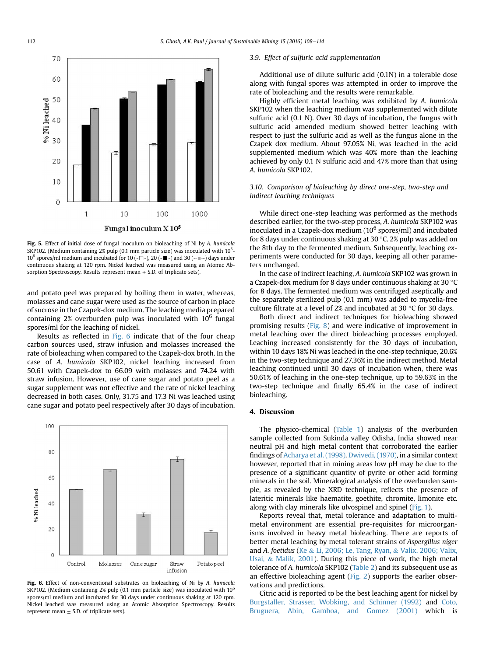<span id="page-4-0"></span>

Fig. 5. Effect of initial dose of fungal inoculum on bioleaching of Ni by A. humicola SKP102. (Medium containing 2% pulp (0.1 mm particle size) was inoculated with  $10^5$ - $10^8$  spores/ml medium and incubated for 10 (- $\Box$ ), 20 (- $\blacksquare$ ) and 30 (- $\blacksquare$ -) days under continuous shaking at 120 rpm. Nickel leached was measured using an Atomic Absorption Spectroscopy. Results represent mean  $\pm$  S.D. of triplicate sets).

and potato peel was prepared by boiling them in water, whereas, molasses and cane sugar were used as the source of carbon in place of sucrose in the Czapek-dox medium. The leaching media prepared containing  $2\%$  overburden pulp was inoculated with  $10^6$  fungal spores/ml for the leaching of nickel.

Results as reflected in Fig. 6 indicate that of the four cheap carbon sources used, straw infusion and molasses increased the rate of bioleaching when compared to the Czapek-dox broth. In the case of A. humicola SKP102, nickel leaching increased from 50.61 with Czapek-dox to 66.09 with molasses and 74.24 with straw infusion. However, use of cane sugar and potato peel as a sugar supplement was not effective and the rate of nickel leaching decreased in both cases. Only, 31.75 and 17.3 Ni was leached using cane sugar and potato peel respectively after 30 days of incubation.



Fig. 6. Effect of non-conventional substrates on bioleaching of Ni by A. humicola SKP102. (Medium containing 2% pulp (0.1 mm particle size) was inoculated with  $10^6$ spores/ml medium and incubated for 30 days under continuous shaking at 120 rpm. Nickel leached was measured using an Atomic Absorption Spectroscopy. Results represent mean  $\pm$  S.D. of triplicate sets).

## 3.9. Effect of sulfuric acid supplementation

Additional use of dilute sulfuric acid (0.1N) in a tolerable dose along with fungal spores was attempted in order to improve the rate of bioleaching and the results were remarkable.

Highly efficient metal leaching was exhibited by A. humicola SKP102 when the leaching medium was supplemented with dilute sulfuric acid (0.1 N). Over 30 days of incubation, the fungus with sulfuric acid amended medium showed better leaching with respect to just the sulfuric acid as well as the fungus alone in the Czapek dox medium. About 97.05% Ni, was leached in the acid supplemented medium which was 40% more than the leaching achieved by only 0.1 N sulfuric acid and 47% more than that using A. humicola SKP102.

## 3.10. Comparison of bioleaching by direct one-step, two-step and indirect leaching techniques

While direct one-step leaching was performed as the methods described earlier, for the two-step process, A. humicola SKP102 was inoculated in a Czapek-dox medium  $(10^6 \text{ spores/ml})$  and incubated for 8 days under continuous shaking at 30  $\degree$ C. 2% pulp was added on the 8th day to the fermented medium. Subsequently, leaching experiments were conducted for 30 days, keeping all other parameters unchanged.

In the case of indirect leaching, A. humicola SKP102 was grown in a Czapek-dox medium for 8 days under continuous shaking at 30 $\degree$ C for 8 days. The fermented medium was centrifuged aseptically and the separately sterilized pulp (0.1 mm) was added to mycelia-free culture filtrate at a level of 2% and incubated at 30  $\degree$ C for 30 days.

Both direct and indirect techniques for bioleaching showed promising results ([Fig. 8](#page-5-0)) and were indicative of improvement in metal leaching over the direct bioleaching processes employed. Leaching increased consistently for the 30 days of incubation, within 10 days 18% Ni was leached in the one-step technique, 20.6% in the two-step technique and 27.36% in the indirect method. Metal leaching continued until 30 days of incubation when, there was 50.61% of leaching in the one-step technique, up to 59.63% in the two-step technique and finally 65.4% in the case of indirect bioleaching.

## 4. Discussion

The physico-chemical [\(Table 1\)](#page-2-0) analysis of the overburden sample collected from Sukinda valley Odisha, India showed near neutral pH and high metal content that corroborated the earlier findings of [Acharya et al. \(1998\)](#page-6-0). [Dwivedi, \(1970\)](#page-6-0), in a similar context however, reported that in mining areas low pH may be due to the presence of a significant quantity of pyrite or other acid forming minerals in the soil. Mineralogical analysis of the overburden sample, as revealed by the XRD technique, reflects the presence of lateritic minerals like haematite, goethite, chromite, limonite etc. along with clay minerals like ulvospinel and spinel [\(Fig. 1](#page-2-0)).

Reports reveal that, metal tolerance and adaptation to multimetal environment are essential pre-requisites for microorganisms involved in heavy metal bioleaching. There are reports of better metal leaching by metal tolerant strains of Aspergillus niger and A. foetidus ([Ke](#page-6-0) & [Li, 2006; Le, Tang, Ryan,](#page-6-0) & [Valix, 2006; Valix,](#page-6-0) [Usai,](#page-6-0) & [Malik, 2001](#page-6-0)). During this piece of work, the high metal tolerance of A. humicola SKP102 ([Table 2\)](#page-2-0) and its subsequent use as an effective bioleaching agent [\(Fig. 2\)](#page-2-0) supports the earlier observations and predictions.

Citric acid is reported to be the best leaching agent for nickel by [Burgstaller, Strasser, Wobking, and Schinner \(1992\)](#page-6-0) and [Coto,](#page-6-0) [Bruguera, Abin, Gamboa, and Gomez \(2001\)](#page-6-0) which is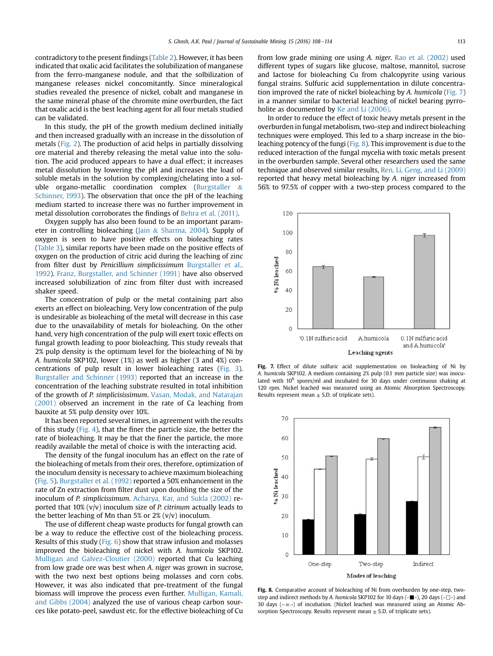<span id="page-5-0"></span>contradictory to the present findings [\(Table 2\)](#page-2-0). However, it has been indicated that oxalic acid facilitates the solubilization of manganese from the ferro-manganese nodule, and that the solbilization of manganese releases nickel concomitantly. Since mineralogical studies revealed the presence of nickel, cobalt and manganese in the same mineral phase of the chromite mine overburden, the fact that oxalic acid is the best leaching agent for all four metals studied can be validated.

In this study, the pH of the growth medium declined initially and then increased gradually with an increase in the dissolution of metals [\(Fig. 2](#page-2-0)). The production of acid helps in partially dissolving ore material and thereby releasing the metal value into the solution. The acid produced appears to have a dual effect; it increases metal dissolution by lowering the pH and increases the load of soluble metals in the solution by complexing/chelating into a soluble organo-metallic coordination complex [\(Burgstaller](#page-6-0) & [Schinner, 1993\)](#page-6-0). The observation that once the pH of the leaching medium started to increase there was no further improvement in metal dissolution corroborates the findings of [Behra et al. \(2011\)](#page-6-0).

Oxygen supply has also been found to be an important parameter in controlling bioleaching [\(Jain](#page-6-0) & [Sharma, 2004](#page-6-0)). Supply of oxygen is seen to have positive effects on bioleaching rates ([Table 3](#page-3-0)), similar reports have been made on the positive effects of oxygen on the production of citric acid during the leaching of zinc from filter dust by Penicillium simplicissimum [Burgstaller et al.,](#page-6-0) [1992\)](#page-6-0). [Franz, Burgstaller, and Schinner \(1991\)](#page-6-0) have also observed increased solubilization of zinc from filter dust with increased shaker speed.

The concentration of pulp or the metal containing part also exerts an effect on bioleaching. Very low concentration of the pulp is undesirable as bioleaching of the metal will decrease in this case due to the unavailability of metals for bioleaching. On the other hand, very high concentration of the pulp will exert toxic effects on fungal growth leading to poor bioleaching. This study reveals that 2% pulp density is the optimum level for the bioleaching of Ni by A. humicola SKP102, lower (1%) as well as higher (3 and 4%) concentrations of pulp result in lower bioleaching rates ([Fig. 3\)](#page-3-0). [Burgstaller and Schinner \(1993\)](#page-6-0) reported that an increase in the concentration of the leaching substrate resulted in total inhibition of the growth of P. simplicisissimum. [Vasan, Modak, and Natarajan](#page-6-0) [\(2001\)](#page-6-0) observed an increment in the rate of Ca leaching from bauxite at 5% pulp density over 10%.

It has been reported several times, in agreement with the results of this study ([Fig. 4\)](#page-3-0), that the finer the particle size, the better the rate of bioleaching. It may be that the finer the particle, the more readily available the metal of choice is with the interacting acid.

The density of the fungal inoculum has an effect on the rate of the bioleaching of metals from their ores, therefore, optimization of the inoculum density is necessary to achieve maximum bioleaching ([Fig. 5](#page-4-0)). [Burgstaller et al. \(1992\)](#page-6-0) reported a 50% enhancement in the rate of Zn extraction from filter dust upon doubling the size of the inoculum of P. simplicissimum. [Acharya, Kar, and Sukla \(2002\)](#page-6-0) reported that  $10\%$  (v/v) inoculum size of *P. citrinum* actually leads to the better leaching of Mn than 5% or  $2\%$  (v/v) inoculum.

The use of different cheap waste products for fungal growth can be a way to reduce the effective cost of the bioleaching process. Results of this study [\(Fig. 6\)](#page-4-0) show that straw infusion and molasses improved the bioleaching of nickel with A. humicola SKP102. [Mulligan and Galvez-Cloutier \(2000\)](#page-6-0) reported that Cu leaching from low grade ore was best when A. niger was grown in sucrose, with the two next best options being molasses and corn cobs. However, it was also indicated that pre-treatment of the fungal biomass will improve the process even further. [Mulligan, Kamali,](#page-6-0) [and Gibbs \(2004\)](#page-6-0) analyzed the use of various cheap carbon sources like potato-peel, sawdust etc. for the effective bioleaching of Cu from low grade mining ore using A. niger. [Rao et al. \(2002\)](#page-6-0) used different types of sugars like glucose, maltose, mannitol, sucrose and lactose for bioleaching Cu from chalcopyrite using various fungal strains. Sulfuric acid supplementation in dilute concentration improved the rate of nickel bioleaching by A. humicola (Fig. 7) in a manner similar to bacterial leaching of nickel bearing pyrroholite as documented by [Ke and Li \(2006\)](#page-6-0).

In order to reduce the effect of toxic heavy metals present in the overburden in fungal metabolism, two-step and indirect bioleaching techniques were employed. This led to a sharp increase in the bioleaching potency of the fungi (Fig. 8). This improvement is due to the reduced interaction of the fungal mycelia with toxic metals present in the overburden sample. Several other researchers used the same technique and observed similar results, [Ren, Li, Geng, and Li \(2009\)](#page-6-0) reported that heavy metal bioleaching by A. niger increased from 56% to 97.5% of copper with a two-step process compared to the



Fig. 7. Effect of dilute sulfuric acid supplementation on bioleaching of Ni by A. humicola SKP102. A medium containing 2% pulp (0.1 mm particle size) was inoculated with 10<sup>6</sup> spores/ml and incubated for 30 days under continuous shaking at 120 rpm. Nickel leached was measured using an Atomic Absorption Spectroscopy. Results represent mean  $\pm$  S.D. of triplicate sets).



Fig. 8. Comparative account of bioleaching of Ni from overburden by one-step, twostep and indirect methods by A. humicola SKP102 for 10 days  $(-\blacksquare -)$ , 20 days  $(-\square -)$  and 30 days  $(-\Box -)$  of incubation. (Nickel leached was measured using an Atomic Absorption Spectroscopy. Results represent mean  $\pm$  S.D. of triplicate sets).